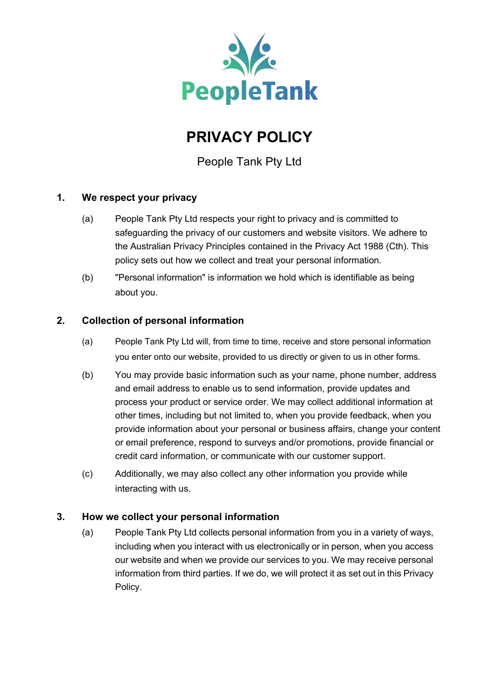

# **PRIVACY POLICY**

People Tank Pty Ltd

# **1. We respect your privacy**

- (a) People Tank Pty Ltd respects your right to privacy and is committed to safeguarding the privacy of our customers and website visitors. We adhere to the Australian Privacy Principles contained in the Privacy Act 1988 (Cth). This policy sets out how we collect and treat your personal information.
- (b) "Personal information" is information we hold which is identifiable as being about you.

# **2. Collection of personal information**

- (a) People Tank Pty Ltd will, from time to time, receive and store personal information you enter onto our website, provided to us directly or given to us in other forms.
- (b) You may provide basic information such as your name, phone number, address and email address to enable us to send information, provide updates and process your product or service order. We may collect additional information at other times, including but not limited to, when you provide feedback, when you provide information about your personal or business affairs, change your content or email preference, respond to surveys and/or promotions, provide financial or credit card information, or communicate with our customer support.
- (c) Additionally, we may also collect any other information you provide while interacting with us.

# **3. How we collect your personal information**

(a) People Tank Pty Ltd collects personal information from you in a variety of ways, including when you interact with us electronically or in person, when you access our website and when we provide our services to you. We may receive personal information from third parties. If we do, we will protect it as set out in this Privacy Policy.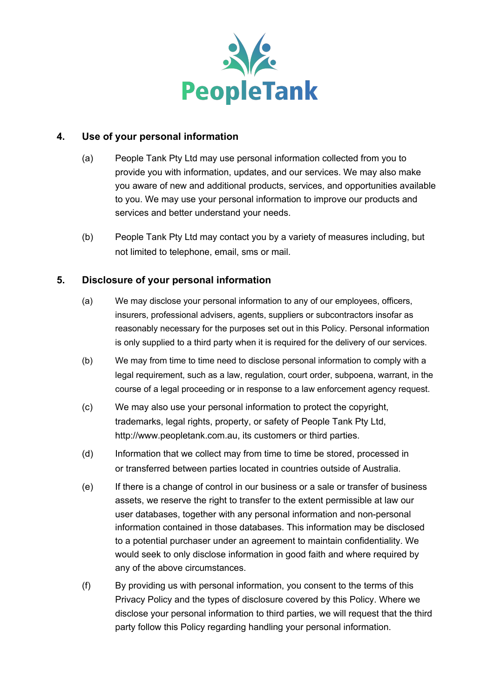

#### **4. Use of your personal information**

- (a) People Tank Pty Ltd may use personal information collected from you to provide you with information, updates, and our services. We may also make you aware of new and additional products, services, and opportunities available to you. We may use your personal information to improve our products and services and better understand your needs.
- (b) People Tank Pty Ltd may contact you by a variety of measures including, but not limited to telephone, email, sms or mail.

# **5. Disclosure of your personal information**

- (a) We may disclose your personal information to any of our employees, officers, insurers, professional advisers, agents, suppliers or subcontractors insofar as reasonably necessary for the purposes set out in this Policy. Personal information is only supplied to a third party when it is required for the delivery of our services.
- (b) We may from time to time need to disclose personal information to comply with a legal requirement, such as a law, regulation, court order, subpoena, warrant, in the course of a legal proceeding or in response to a law enforcement agency request.
- (c) We may also use your personal information to protect the copyright, trademarks, legal rights, property, or safety of People Tank Pty Ltd, http://www.peopletank.com.au, its customers or third parties.
- (d) Information that we collect may from time to time be stored, processed in or transferred between parties located in countries outside of Australia.
- (e) If there is a change of control in our business or a sale or transfer of business assets, we reserve the right to transfer to the extent permissible at law our user databases, together with any personal information and non-personal information contained in those databases. This information may be disclosed to a potential purchaser under an agreement to maintain confidentiality. We would seek to only disclose information in good faith and where required by any of the above circumstances.
- (f) By providing us with personal information, you consent to the terms of this Privacy Policy and the types of disclosure covered by this Policy. Where we disclose your personal information to third parties, we will request that the third party follow this Policy regarding handling your personal information.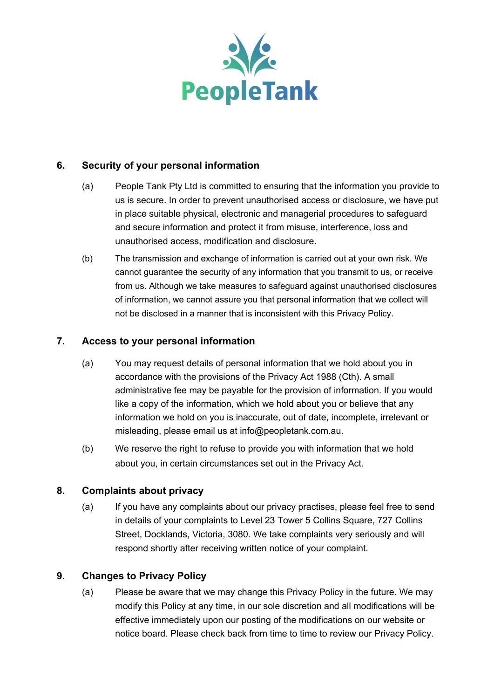

# **6. Security of your personal information**

- (a) People Tank Pty Ltd is committed to ensuring that the information you provide to us is secure. In order to prevent unauthorised access or disclosure, we have put in place suitable physical, electronic and managerial procedures to safeguard and secure information and protect it from misuse, interference, loss and unauthorised access, modification and disclosure.
- (b) The transmission and exchange of information is carried out at your own risk. We cannot guarantee the security of any information that you transmit to us, or receive from us. Although we take measures to safeguard against unauthorised disclosures of information, we cannot assure you that personal information that we collect will not be disclosed in a manner that is inconsistent with this Privacy Policy.

#### **7. Access to your personal information**

- (a) You may request details of personal information that we hold about you in accordance with the provisions of the Privacy Act 1988 (Cth). A small administrative fee may be payable for the provision of information. If you would like a copy of the information, which we hold about you or believe that any information we hold on you is inaccurate, out of date, incomplete, irrelevant or misleading, please email us at info@peopletank.com.au.
- (b) We reserve the right to refuse to provide you with information that we hold about you, in certain circumstances set out in the Privacy Act.

# **8. Complaints about privacy**

(a) If you have any complaints about our privacy practises, please feel free to send in details of your complaints to Level 23 Tower 5 Collins Square, 727 Collins Street, Docklands, Victoria, 3080. We take complaints very seriously and will respond shortly after receiving written notice of your complaint.

#### **9. Changes to Privacy Policy**

(a) Please be aware that we may change this Privacy Policy in the future. We may modify this Policy at any time, in our sole discretion and all modifications will be effective immediately upon our posting of the modifications on our website or notice board. Please check back from time to time to review our Privacy Policy.